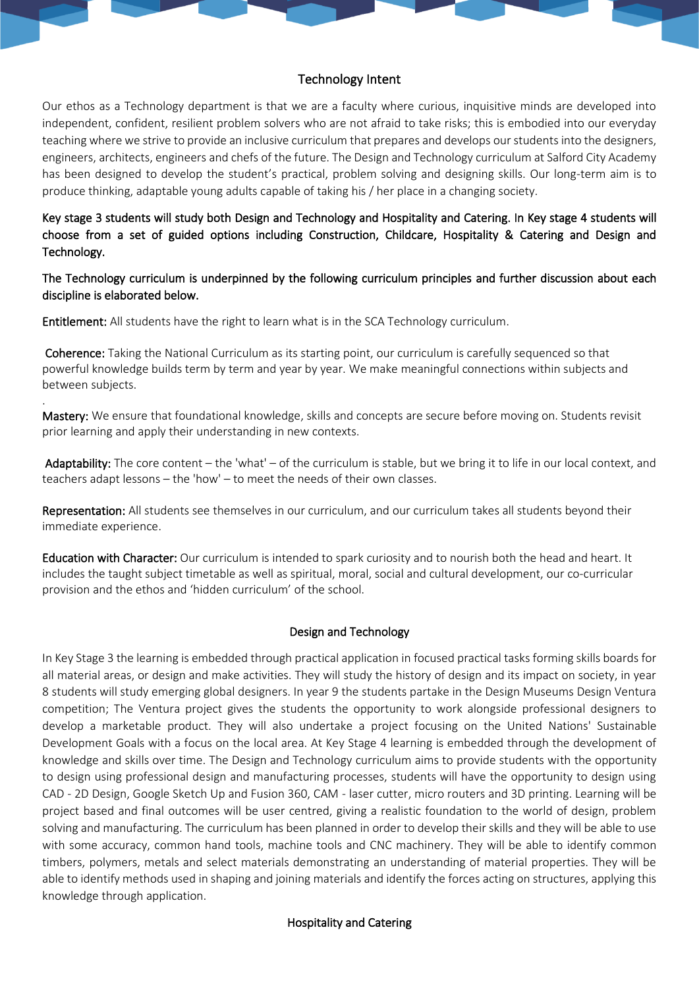# Technology Intent

Our ethos as a Technology department is that we are a faculty where curious, inquisitive minds are developed into independent, confident, resilient problem solvers who are not afraid to take risks; this is embodied into our everyday teaching where we strive to provide an inclusive curriculum that prepares and develops our students into the designers, engineers, architects, engineers and chefs of the future. The Design and Technology curriculum at Salford City Academy has been designed to develop the student's practical, problem solving and designing skills. Our long-term aim is to produce thinking, adaptable young adults capable of taking his / her place in a changing society.

Key stage 3 students will study both Design and Technology and Hospitality and Catering. In Key stage 4 students will choose from a set of guided options including Construction, Childcare, Hospitality & Catering and Design and Technology.

The Technology curriculum is underpinned by the following curriculum principles and further discussion about each discipline is elaborated below.

Entitlement: All students have the right to learn what is in the SCA Technology curriculum.

.

 Coherence: Taking the National Curriculum as its starting point, our curriculum is carefully sequenced so that powerful knowledge builds term by term and year by year. We make meaningful connections within subjects and between subjects.

Mastery: We ensure that foundational knowledge, skills and concepts are secure before moving on. Students revisit prior learning and apply their understanding in new contexts.

 Adaptability: The core content – the 'what' – of the curriculum is stable, but we bring it to life in our local context, and teachers adapt lessons – the 'how' – to meet the needs of their own classes.

Representation: All students see themselves in our curriculum, and our curriculum takes all students beyond their immediate experience.

Education with Character: Our curriculum is intended to spark curiosity and to nourish both the head and heart. It includes the taught subject timetable as well as spiritual, moral, social and cultural development, our co-curricular provision and the ethos and 'hidden curriculum' of the school.

### Design and Technology

In Key Stage 3 the learning is embedded through practical application in focused practical tasks forming skills boards for all material areas, or design and make activities. They will study the history of design and its impact on society, in year 8 students will study emerging global designers. In year 9 the students partake in the Design Museums Design Ventura competition; The Ventura project gives the students the opportunity to work alongside professional designers to develop a marketable product. They will also undertake a project focusing on the United Nations' Sustainable Development Goals with a focus on the local area. At Key Stage 4 learning is embedded through the development of knowledge and skills over time. The Design and Technology curriculum aims to provide students with the opportunity to design using professional design and manufacturing processes, students will have the opportunity to design using CAD - 2D Design, Google Sketch Up and Fusion 360, CAM - laser cutter, micro routers and 3D printing. Learning will be project based and final outcomes will be user centred, giving a realistic foundation to the world of design, problem solving and manufacturing. The curriculum has been planned in order to develop their skills and they will be able to use with some accuracy, common hand tools, machine tools and CNC machinery. They will be able to identify common timbers, polymers, metals and select materials demonstrating an understanding of material properties. They will be able to identify methods used in shaping and joining materials and identify the forces acting on structures, applying this knowledge through application.

## Hospitality and Catering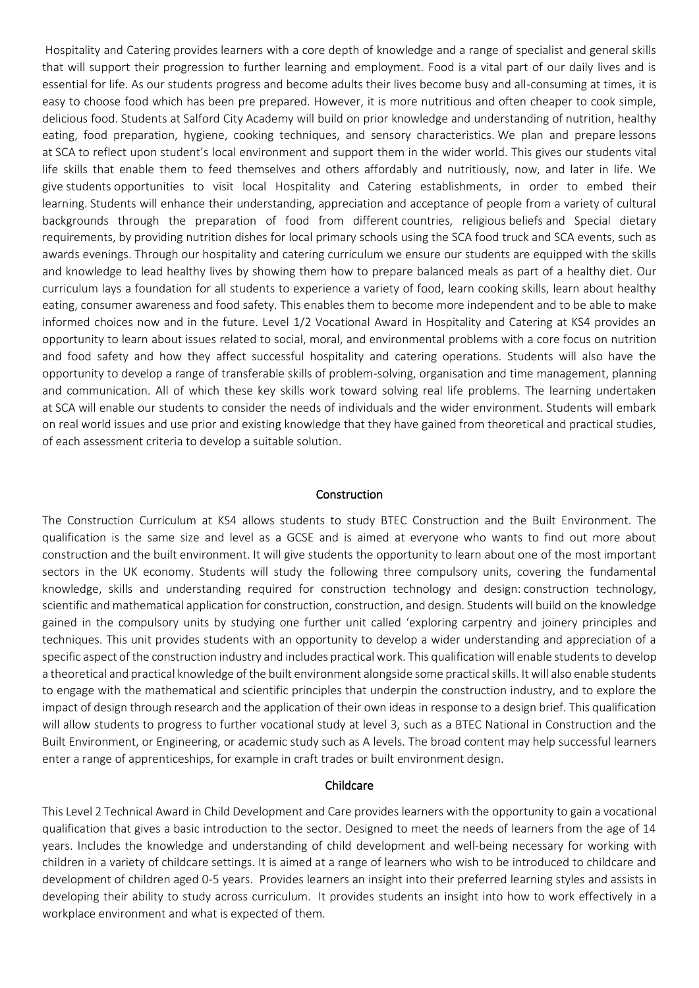Hospitality and Catering provides learners with a core depth of knowledge and a range of specialist and general skills that will support their progression to further learning and employment. Food is a vital part of our daily lives and is essential for life. As our students progress and become adults their lives become busy and all-consuming at times, it is easy to choose food which has been pre prepared. However, it is more nutritious and often cheaper to cook simple, delicious food. Students at Salford City Academy will build on prior knowledge and understanding of nutrition, healthy eating, food preparation, hygiene, cooking techniques, and sensory characteristics. We plan and prepare lessons at SCA to reflect upon student's local environment and support them in the wider world. This gives our students vital life skills that enable them to feed themselves and others affordably and nutritiously, now, and later in life. We give students opportunities to visit local Hospitality and Catering establishments, in order to embed their learning. Students will enhance their understanding, appreciation and acceptance of people from a variety of cultural backgrounds through the preparation of food from different countries, religious beliefs and Special dietary requirements, by providing nutrition dishes for local primary schools using the SCA food truck and SCA events, such as awards evenings. Through our hospitality and catering curriculum we ensure our students are equipped with the skills and knowledge to lead healthy lives by showing them how to prepare balanced meals as part of a healthy diet. Our curriculum lays a foundation for all students to experience a variety of food, learn cooking skills, learn about healthy eating, consumer awareness and food safety. This enables them to become more independent and to be able to make informed choices now and in the future. Level 1/2 Vocational Award in Hospitality and Catering at KS4 provides an opportunity to learn about issues related to social, moral, and environmental problems with a core focus on nutrition and food safety and how they affect successful hospitality and catering operations. Students will also have the opportunity to develop a range of transferable skills of problem-solving, organisation and time management, planning and communication. All of which these key skills work toward solving real life problems. The learning undertaken at SCA will enable our students to consider the needs of individuals and the wider environment. Students will embark on real world issues and use prior and existing knowledge that they have gained from theoretical and practical studies, of each assessment criteria to develop a suitable solution.

#### Construction

The Construction Curriculum at KS4 allows students to study BTEC Construction and the Built Environment. The qualification is the same size and level as a GCSE and is aimed at everyone who wants to find out more about construction and the built environment. It will give students the opportunity to learn about one of the most important sectors in the UK economy. Students will study the following three compulsory units, covering the fundamental knowledge, skills and understanding required for construction technology and design: construction technology, scientific and mathematical application for construction, construction, and design. Students will build on the knowledge gained in the compulsory units by studying one further unit called 'exploring carpentry and joinery principles and techniques. This unit provides students with an opportunity to develop a wider understanding and appreciation of a specific aspect of the construction industry and includes practical work. This qualification will enable students to develop a theoretical and practical knowledge of the built environment alongside some practical skills. It will also enable students to engage with the mathematical and scientific principles that underpin the construction industry, and to explore the impact of design through research and the application of their own ideas in response to a design brief. This qualification will allow students to progress to further vocational study at level 3, such as a BTEC National in Construction and the Built Environment, or Engineering, or academic study such as A levels. The broad content may help successful learners enter a range of apprenticeships, for example in craft trades or built environment design.

#### Childcare

This Level 2 Technical Award in Child Development and Care provides learners with the opportunity to gain a vocational qualification that gives a basic introduction to the sector. Designed to meet the needs of learners from the age of 14 years. Includes the knowledge and understanding of child development and well-being necessary for working with children in a variety of childcare settings. It is aimed at a range of learners who wish to be introduced to childcare and development of children aged 0-5 years. Provides learners an insight into their preferred learning styles and assists in developing their ability to study across curriculum. It provides students an insight into how to work effectively in a workplace environment and what is expected of them.